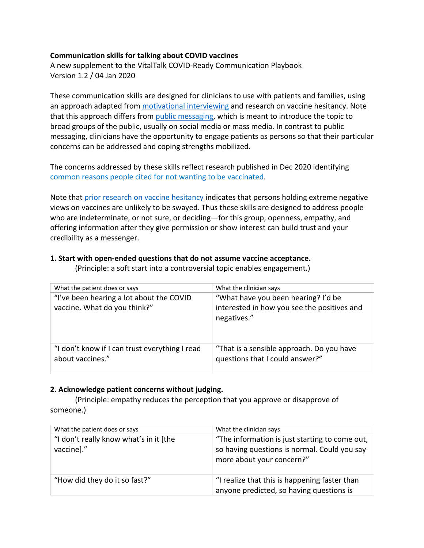### **Communication skills for talking about COVID vaccines**

A new supplement to the VitalTalk COVID-Ready Communication Playbook Version 1.2 / 04 Jan 2020

These communication skills are designed for clinicians to use with patients and families, using an approach adapted from motivational interviewing and research on vaccine hesitancy. Note that this approach differs from public messaging, which is meant to introduce the topic to broad groups of the public, usually on social media or mass media. In contrast to public messaging, clinicians have the opportunity to engage patients as persons so that their particular concerns can be addressed and coping strengths mobilized.

The concerns addressed by these skills reflect research published in Dec 2020 identifying common reasons people cited for not wanting to be vaccinated.

Note that prior research on vaccine hesitancy indicates that persons holding extreme negative views on vaccines are unlikely to be swayed. Thus these skills are designed to address people who are indeterminate, or not sure, or deciding—for this group, openness, empathy, and offering information after they give permission or show interest can build trust and your credibility as a messenger.

### **1. Start with open-ended questions that do not assume vaccine acceptance.**

(Principle: a soft start into a controversial topic enables engagement.)

| What the patient does or says                                            | What the clinician says                                                                           |
|--------------------------------------------------------------------------|---------------------------------------------------------------------------------------------------|
| "I've been hearing a lot about the COVID<br>vaccine. What do you think?" | "What have you been hearing? I'd be<br>interested in how you see the positives and<br>negatives." |
| "I don't know if I can trust everything I read<br>about vaccines."       | "That is a sensible approach. Do you have<br>questions that I could answer?"                      |

#### **2. Acknowledge patient concerns without judging.**

(Principle: empathy reduces the perception that you approve or disapprove of someone.)

| What the patient does or says          | What the clinician says                                                   |
|----------------------------------------|---------------------------------------------------------------------------|
| "I don't really know what's in it [the | "The information is just starting to come out,                            |
| vaccine]."                             | so having questions is normal. Could you say<br>more about your concern?" |
| "How did they do it so fast?"          | "I realize that this is happening faster than                             |
|                                        | anyone predicted, so having questions is                                  |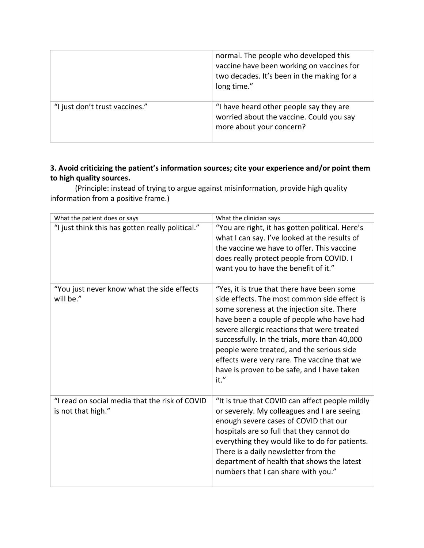|                                | normal. The people who developed this<br>vaccine have been working on vaccines for<br>two decades. It's been in the making for a<br>long time." |
|--------------------------------|-------------------------------------------------------------------------------------------------------------------------------------------------|
| "I just don't trust vaccines." | "I have heard other people say they are<br>worried about the vaccine. Could you say<br>more about your concern?                                 |

# **3. Avoid criticizing the patient's information sources; cite your experience and/or point them to high quality sources.**

(Principle: instead of trying to argue against misinformation, provide high quality information from a positive frame.)

| What the patient does or says                                        | What the clinician says                                                                                                                                                                                                                                                                                                                                                                                                                  |
|----------------------------------------------------------------------|------------------------------------------------------------------------------------------------------------------------------------------------------------------------------------------------------------------------------------------------------------------------------------------------------------------------------------------------------------------------------------------------------------------------------------------|
| "I just think this has gotten really political."                     | "You are right, it has gotten political. Here's<br>what I can say. I've looked at the results of<br>the vaccine we have to offer. This vaccine<br>does really protect people from COVID. I<br>want you to have the benefit of it."                                                                                                                                                                                                       |
| "You just never know what the side effects<br>will be."              | "Yes, it is true that there have been some<br>side effects. The most common side effect is<br>some soreness at the injection site. There<br>have been a couple of people who have had<br>severe allergic reactions that were treated<br>successfully. In the trials, more than 40,000<br>people were treated, and the serious side<br>effects were very rare. The vaccine that we<br>have is proven to be safe, and I have taken<br>it." |
| "I read on social media that the risk of COVID<br>is not that high." | "It is true that COVID can affect people mildly<br>or severely. My colleagues and I are seeing<br>enough severe cases of COVID that our<br>hospitals are so full that they cannot do<br>everything they would like to do for patients.<br>There is a daily newsletter from the<br>department of health that shows the latest<br>numbers that I can share with you."                                                                      |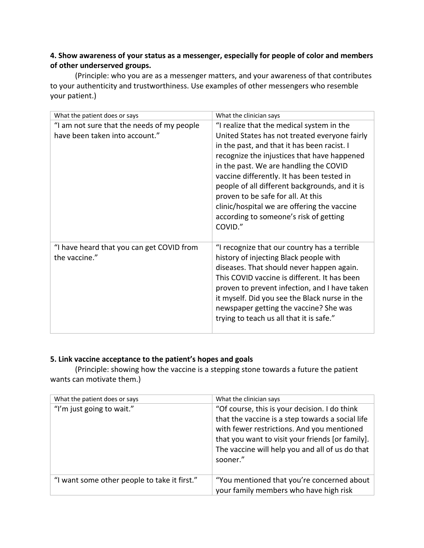# **4. Show awareness of your status as a messenger, especially for people of color and members of other underserved groups.**

(Principle: who you are as a messenger matters, and your awareness of that contributes to your authenticity and trustworthiness. Use examples of other messengers who resemble your patient.)

| What the patient does or says                                                | What the clinician says                                                                                                                                                                                                                                                                                                                                                                                                                                                      |
|------------------------------------------------------------------------------|------------------------------------------------------------------------------------------------------------------------------------------------------------------------------------------------------------------------------------------------------------------------------------------------------------------------------------------------------------------------------------------------------------------------------------------------------------------------------|
| "I am not sure that the needs of my people<br>have been taken into account." | "I realize that the medical system in the<br>United States has not treated everyone fairly<br>in the past, and that it has been racist. I<br>recognize the injustices that have happened<br>in the past. We are handling the COVID<br>vaccine differently. It has been tested in<br>people of all different backgrounds, and it is<br>proven to be safe for all. At this<br>clinic/hospital we are offering the vaccine<br>according to someone's risk of getting<br>COVID." |
| "I have heard that you can get COVID from<br>the vaccine."                   | "I recognize that our country has a terrible<br>history of injecting Black people with<br>diseases. That should never happen again.<br>This COVID vaccine is different. It has been<br>proven to prevent infection, and I have taken<br>it myself. Did you see the Black nurse in the<br>newspaper getting the vaccine? She was<br>trying to teach us all that it is safe."                                                                                                  |

## **5. Link vaccine acceptance to the patient's hopes and goals**

(Principle: showing how the vaccine is a stepping stone towards a future the patient wants can motivate them.)

| What the patient does or says                | What the clinician says                                                                                                                                                                                                                                            |
|----------------------------------------------|--------------------------------------------------------------------------------------------------------------------------------------------------------------------------------------------------------------------------------------------------------------------|
| "I'm just going to wait."                    | "Of course, this is your decision. I do think<br>that the vaccine is a step towards a social life<br>with fewer restrictions. And you mentioned<br>that you want to visit your friends [or family].<br>The vaccine will help you and all of us do that<br>sooner." |
| "I want some other people to take it first." | "You mentioned that you're concerned about<br>your family members who have high risk                                                                                                                                                                               |